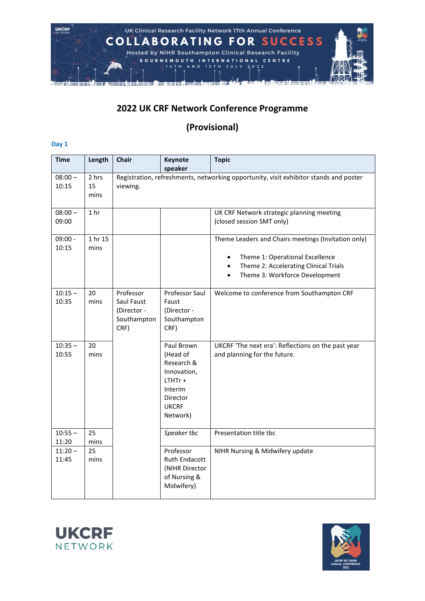

## **2022 UK CRF Network Conference Programme**

## **(Provisional)**

## **Day 1**

| <b>Time</b>        | Length              | <b>Chair</b>                                                  | Keynote<br>speaker                                                                                                  | <b>Topic</b>                                                                                                                                                                                             |
|--------------------|---------------------|---------------------------------------------------------------|---------------------------------------------------------------------------------------------------------------------|----------------------------------------------------------------------------------------------------------------------------------------------------------------------------------------------------------|
| $08:00 -$<br>10:15 | 2 hrs<br>15<br>mins | viewing.                                                      |                                                                                                                     | Registration, refreshments, networking opportunity, visit exhibitor stands and poster                                                                                                                    |
| $08:00 -$<br>09:00 | 1 <sub>hr</sub>     |                                                               |                                                                                                                     | UK CRF Network strategic planning meeting<br>(closed session SMT only)                                                                                                                                   |
| $09:00 -$<br>10:15 | 1 hr 15<br>mins     |                                                               |                                                                                                                     | Theme Leaders and Chairs meetings (Invitation only)<br>Theme 1: Operational Excellence<br>$\bullet$<br>Theme 2: Accelerating Clinical Trials<br>$\bullet$<br>Theme 3: Workforce Development<br>$\bullet$ |
| $10:15 -$<br>10:35 | 20<br>mins          | Professor<br>Saul Faust<br>(Director -<br>Southampton<br>CRF) | Professor Saul<br>Faust<br>(Director -<br>Southampton<br>CRF)                                                       | Welcome to conference from Southampton CRF                                                                                                                                                               |
| $10:35 -$<br>10:55 | 20<br>mins          |                                                               | Paul Brown<br>(Head of<br>Research &<br>Innovation,<br>$LTHTr +$<br>Interim<br>Director<br><b>UKCRF</b><br>Network) | UKCRF 'The next era': Reflections on the past year<br>and planning for the future.                                                                                                                       |
| $10:55 -$<br>11:20 | 25<br>mins          |                                                               | Speaker tbc                                                                                                         | Presentation title tbc                                                                                                                                                                                   |
| $11:20 -$<br>11:45 | 25<br>mins          |                                                               | Professor<br>Ruth Endacott<br>(NIHR Director<br>of Nursing &<br>Midwifery)                                          | NIHR Nursing & Midwifery update                                                                                                                                                                          |



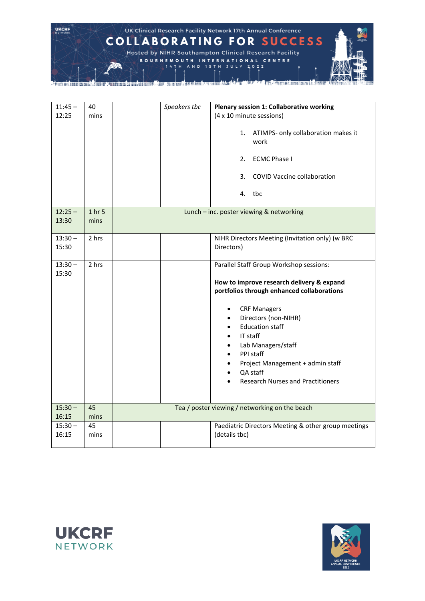

| $11:45 -$<br>12:25 | 40<br>mins     | Speakers tbc | Plenary session 1: Collaborative working<br>(4 x 10 minute sessions)<br>ATIMPS- only collaboration makes it<br>1.<br>work<br><b>ECMC Phase I</b><br>2.<br><b>COVID Vaccine collaboration</b><br>3.<br>4. tbc                                                                                                                                                                                                                                           |
|--------------------|----------------|--------------|--------------------------------------------------------------------------------------------------------------------------------------------------------------------------------------------------------------------------------------------------------------------------------------------------------------------------------------------------------------------------------------------------------------------------------------------------------|
| $12:25 -$<br>13:30 | 1 hr 5<br>mins |              | Lunch - inc. poster viewing & networking                                                                                                                                                                                                                                                                                                                                                                                                               |
| $13:30 -$<br>15:30 | 2 hrs          |              | NIHR Directors Meeting (Invitation only) (w BRC<br>Directors)                                                                                                                                                                                                                                                                                                                                                                                          |
| $13:30 -$<br>15:30 | 2 hrs          |              | Parallel Staff Group Workshop sessions:<br>How to improve research delivery & expand<br>portfolios through enhanced collaborations<br><b>CRF Managers</b><br>٠<br>Directors (non-NIHR)<br>$\bullet$<br><b>Education staff</b><br>$\bullet$<br>IT staff<br>$\bullet$<br>Lab Managers/staff<br>$\bullet$<br>PPI staff<br>$\bullet$<br>Project Management + admin staff<br>$\bullet$<br>QA staff<br>$\bullet$<br><b>Research Nurses and Practitioners</b> |
| $15:30 -$<br>16:15 | 45<br>mins     |              | Tea / poster viewing / networking on the beach                                                                                                                                                                                                                                                                                                                                                                                                         |
| $15:30 -$<br>16:15 | 45<br>mins     |              | Paediatric Directors Meeting & other group meetings<br>(details tbc)                                                                                                                                                                                                                                                                                                                                                                                   |



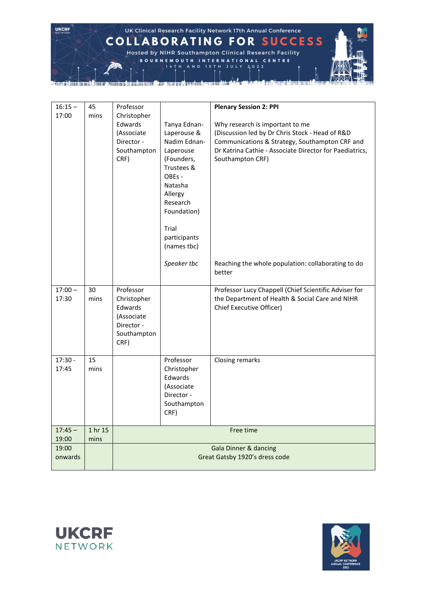**UKCRF** UK Clinical Research Facility Network 17th Annual Conference **COLLABORATING FOR SUCCESS** Hosted by NIHR Southampton Clinical Research Facility BOURNEMOUTH INTERNATIONAL CENTRE A N D **15TH JULY 2022** 14 T H <u> La Communicación de la Communicación de la Communicación de la Communicación de la Communicación de la Communicación de la Communicación de la Communicación de la Communicación de la Communicación de la Communicación de </u>

| $16:15 -$          | 45         | Professor                        |                          | <b>Plenary Session 2: PPI</b>                                               |
|--------------------|------------|----------------------------------|--------------------------|-----------------------------------------------------------------------------|
| 17:00              | mins       | Christopher                      |                          |                                                                             |
|                    |            | Edwards                          | Tanya Ednan-             | Why research is important to me                                             |
|                    |            | (Associate                       | Laperouse &              | (Discussion led by Dr Chris Stock - Head of R&D                             |
|                    |            | Director -                       | Nadim Ednan-             | Communications & Strategy, Southampton CRF and                              |
|                    |            | Southampton<br>CRF)              | Laperouse<br>(Founders,  | Dr Katrina Cathie - Associate Director for Paediatrics,<br>Southampton CRF) |
|                    |            |                                  | Trustees &               |                                                                             |
|                    |            |                                  | OBEs -                   |                                                                             |
|                    |            |                                  | Natasha                  |                                                                             |
|                    |            |                                  | Allergy                  |                                                                             |
|                    |            |                                  | Research<br>Foundation)  |                                                                             |
|                    |            |                                  |                          |                                                                             |
|                    |            |                                  | Trial                    |                                                                             |
|                    |            |                                  | participants             |                                                                             |
|                    |            |                                  | (names tbc)              |                                                                             |
|                    |            |                                  | Speaker tbc              | Reaching the whole population: collaborating to do                          |
|                    |            |                                  |                          | better                                                                      |
| $17:00 -$          | 30         | Professor                        |                          | Professor Lucy Chappell (Chief Scientific Adviser for                       |
| 17:30              | mins       | Christopher                      |                          | the Department of Health & Social Care and NIHR                             |
|                    |            | Edwards                          |                          | Chief Executive Officer)                                                    |
|                    |            | (Associate<br>Director -         |                          |                                                                             |
|                    |            | Southampton                      |                          |                                                                             |
|                    |            | CRF)                             |                          |                                                                             |
|                    |            |                                  |                          |                                                                             |
| $17:30 -$<br>17:45 | 15<br>mins |                                  | Professor<br>Christopher | Closing remarks                                                             |
|                    |            |                                  | Edwards                  |                                                                             |
|                    |            |                                  | (Associate               |                                                                             |
|                    |            |                                  | Director -               |                                                                             |
|                    |            |                                  | Southampton              |                                                                             |
|                    |            |                                  | CRF)                     |                                                                             |
| $17:45 -$          | 1 hr 15    | Free time                        |                          |                                                                             |
| 19:00<br>19:00     | mins       | <b>Gala Dinner &amp; dancing</b> |                          |                                                                             |
| onwards            |            | Great Gatsby 1920's dress code   |                          |                                                                             |
|                    |            |                                  |                          |                                                                             |



**Million Million To Mail Line** 

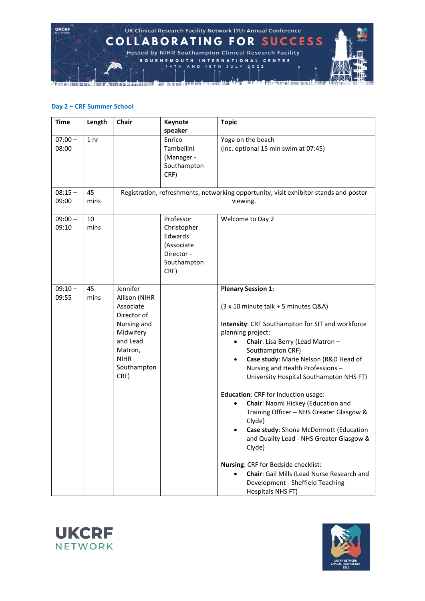

## **Day 2 – CRF Summer School**

| <b>Time</b>        | Length          | Chair                                                                                                                                          | Keynote<br>speaker                                                                     | <b>Topic</b>                                                                                                                                                                                                                                                                                                                                                                                                                                                                                                                                                                                                                                                                                                                                      |
|--------------------|-----------------|------------------------------------------------------------------------------------------------------------------------------------------------|----------------------------------------------------------------------------------------|---------------------------------------------------------------------------------------------------------------------------------------------------------------------------------------------------------------------------------------------------------------------------------------------------------------------------------------------------------------------------------------------------------------------------------------------------------------------------------------------------------------------------------------------------------------------------------------------------------------------------------------------------------------------------------------------------------------------------------------------------|
| $07:00 -$<br>08:00 | 1 <sub>hr</sub> |                                                                                                                                                | Enrico<br>Tambellini<br>(Manager -<br>Southampton<br>CRF)                              | Yoga on the beach<br>(inc. optional 15 min swim at 07:45)                                                                                                                                                                                                                                                                                                                                                                                                                                                                                                                                                                                                                                                                                         |
| $08:15 -$<br>09:00 | 45<br>mins      |                                                                                                                                                |                                                                                        | Registration, refreshments, networking opportunity, visit exhibitor stands and poster<br>viewing.                                                                                                                                                                                                                                                                                                                                                                                                                                                                                                                                                                                                                                                 |
| $09:00 -$<br>09:10 | 10<br>mins      |                                                                                                                                                | Professor<br>Christopher<br>Edwards<br>(Associate<br>Director -<br>Southampton<br>CRF) | Welcome to Day 2                                                                                                                                                                                                                                                                                                                                                                                                                                                                                                                                                                                                                                                                                                                                  |
| $09:10 -$<br>09:55 | 45<br>mins      | Jennifer<br>Allison (NIHR<br>Associate<br>Director of<br>Nursing and<br>Midwifery<br>and Lead<br>Matron,<br><b>NIHR</b><br>Southampton<br>CRF) |                                                                                        | <b>Plenary Session 1:</b><br>(3 x 10 minute talk + 5 minutes Q&A)<br>Intensity: CRF Southampton for SIT and workforce<br>planning project:<br>Chair: Lisa Berry (Lead Matron -<br>$\bullet$<br>Southampton CRF)<br>Case study: Marie Nelson (R&D Head of<br>$\bullet$<br>Nursing and Health Professions-<br>University Hospital Southampton NHS FT)<br>Education: CRF for Induction usage:<br>Chair: Naomi Hickey (Education and<br>Training Officer - NHS Greater Glasgow &<br>Clyde)<br>Case study: Shona McDermott (Education<br>and Quality Lead - NHS Greater Glasgow &<br>Clyde)<br>Nursing: CRF for Bedside checklist:<br>Chair: Gail Mills (Lead Nurse Research and<br>$\bullet$<br>Development - Sheffield Teaching<br>Hospitals NHS FT) |